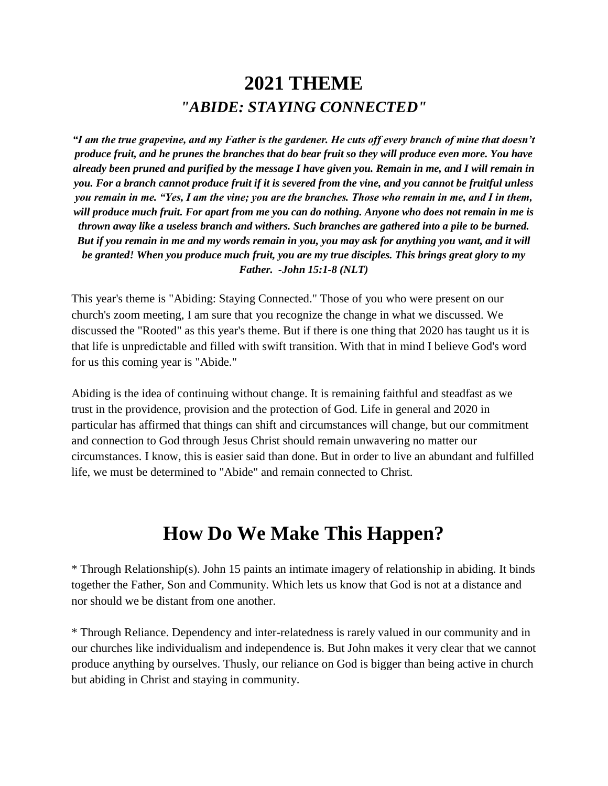# **2021 THEME** *"ABIDE: STAYING CONNECTED"*

*"I am the true grapevine, and my Father is the gardener. He cuts off every branch of mine that doesn't produce fruit, and he prunes the branches that do bear fruit so they will produce even more. You have already been pruned and purified by the message I have given you. Remain in me, and I will remain in you. For a branch cannot produce fruit if it is severed from the vine, and you cannot be fruitful unless you remain in me. "Yes, I am the vine; you are the branches. Those who remain in me, and I in them, will produce much fruit. For apart from me you can do nothing. Anyone who does not remain in me is thrown away like a useless branch and withers. Such branches are gathered into a pile to be burned. But if you remain in me and my words remain in you, you may ask for anything you want, and it will be granted! When you produce much fruit, you are my true disciples. This brings great glory to my Father. -John 15:1-8 (NLT)*

This year's theme is "Abiding: Staying Connected." Those of you who were present on our church's zoom meeting, I am sure that you recognize the change in what we discussed. We discussed the "Rooted" as this year's theme. But if there is one thing that 2020 has taught us it is that life is unpredictable and filled with swift transition. With that in mind I believe God's word for us this coming year is "Abide."

Abiding is the idea of continuing without change. It is remaining faithful and steadfast as we trust in the providence, provision and the protection of God. Life in general and 2020 in particular has affirmed that things can shift and circumstances will change, but our commitment and connection to God through Jesus Christ should remain unwavering no matter our circumstances. I know, this is easier said than done. But in order to live an abundant and fulfilled life, we must be determined to "Abide" and remain connected to Christ.

# **How Do We Make This Happen?**

\* Through Relationship(s). John 15 paints an intimate imagery of relationship in abiding. It binds together the Father, Son and Community. Which lets us know that God is not at a distance and nor should we be distant from one another.

\* Through Reliance. Dependency and inter-relatedness is rarely valued in our community and in our churches like individualism and independence is. But John makes it very clear that we cannot produce anything by ourselves. Thusly, our reliance on God is bigger than being active in church but abiding in Christ and staying in community.